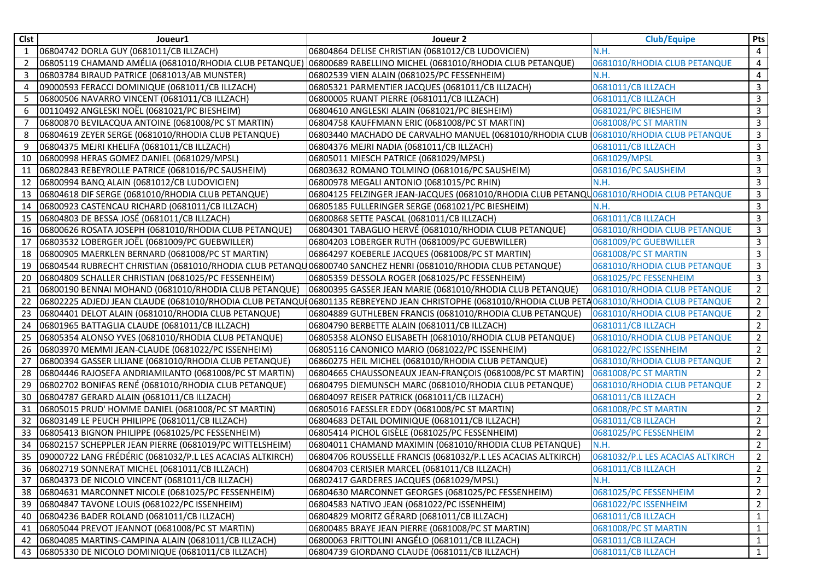| Clst         | Joueur1                                                                                                          | Joueur 2                                                                                                                                           | <b>Club/Equipe</b>               | Pts            |
|--------------|------------------------------------------------------------------------------------------------------------------|----------------------------------------------------------------------------------------------------------------------------------------------------|----------------------------------|----------------|
| $\mathbf{1}$ | 06804742 DORLA GUY (0681011/CB ILLZACH)                                                                          | 06804864 DELISE CHRISTIAN (0681012/CB LUDOVICIEN)                                                                                                  | N.H.                             | 4              |
| 2            | 06805119 CHAMAND AMÉLIA (0681010/RHODIA CLUB PETANQUE)  06800689 RABELLINO MICHEL (0681010/RHODIA CLUB PETANQUE) |                                                                                                                                                    | 0681010/RHODIA CLUB PETANQUE     | 4              |
| 3            | 06803784 BIRAUD PATRICE (0681013/AB MUNSTER)                                                                     | 06802539 VIEN ALAIN (0681025/PC FESSENHEIM)                                                                                                        | N.H.                             | 4              |
| 4            | 09000593 FERACCI DOMINIQUE (0681011/CB ILLZACH)                                                                  | 06805321 PARMENTIER JACQUES (0681011/CB ILLZACH)                                                                                                   | 0681011/CB ILLZACH               | 3              |
| 5            | 06800506 NAVARRO VINCENT (0681011/CB ILLZACH)                                                                    | 06800005 RUANT PIERRE (0681011/CB ILLZACH)                                                                                                         | 0681011/CB ILLZACH               | 3              |
| 6            | 00110492 ANGLESKI NOËL (0681021/PC BIESHEIM)                                                                     | 06804610 ANGLESKI ALAIN (0681021/PC BIESHEIM)                                                                                                      | 0681021/PC BIESHEIM              | 3              |
|              | 06800870 BEVILACQUA ANTOINE (0681008/PC ST MARTIN)                                                               | 06804758 KAUFFMANN ERIC (0681008/PC ST MARTIN)                                                                                                     | 0681008/PC ST MARTIN             | 3              |
| 8            | 06804619 ZEYER SERGE (0681010/RHODIA CLUB PETANQUE)                                                              | 06803440 MACHADO DE CARVALHO MANUEL (0681010/RHODIA CLUB   0681010/RHODIA CLUB PETANQUE                                                            |                                  | 3              |
| 9            | 06804375 MEJRI KHELIFA (0681011/CB ILLZACH)                                                                      | 06804376 MEJRI NADIA (0681011/CB ILLZACH)                                                                                                          | 0681011/CB ILLZACH               | 3              |
| 10           | 06800998 HERAS GOMEZ DANIEL (0681029/MPSL)                                                                       | 06805011 MIESCH PATRICE (0681029/MPSL)                                                                                                             | 0681029/MPSL                     | 3              |
| 11           | 06802843 REBEYROLLE PATRICE (0681016/PC SAUSHEIM)                                                                | 06803632 ROMANO TOLMINO (0681016/PC SAUSHEIM)                                                                                                      | 0681016/PC SAUSHEIM              | 3              |
| 12           | 06800994 BANQ ALAIN (0681012/CB LUDOVICIEN)                                                                      | 06800978 MEGALI ANTONIO (0681015/PC RHIN)                                                                                                          | N.H.                             | 3              |
| 13           | 06804618 DIF SERGE (0681010/RHODIA CLUB PETANQUE)                                                                | 06804125 FELZINGER JEAN-JACQUES (0681010/RHODIA CLUB PETANQU 0681010/RHODIA CLUB PETANQUE                                                          |                                  | 3              |
| 14           | 06800923 CASTENCAU RICHARD (0681011/CB ILLZACH)                                                                  | 06805185 FULLERINGER SERGE (0681021/PC BIESHEIM)                                                                                                   | N.H.                             | 3              |
| 15           | 06804803 DE BESSA JOSÉ (0681011/CB ILLZACH)                                                                      | 06800868 SETTE PASCAL (0681011/CB ILLZACH)                                                                                                         | 0681011/CB ILLZACH               | 3              |
| 16           | 06800626 ROSATA JOSEPH (0681010/RHODIA CLUB PETANQUE)                                                            | 06804301 TABAGLIO HERVÉ (0681010/RHODIA CLUB PETANQUE)                                                                                             | 0681010/RHODIA CLUB PETANQUE     | 3              |
| 17           | 06803532 LOBERGER JOËL (0681009/PC GUEBWILLER)                                                                   | 06804203 LOBERGER RUTH (0681009/PC GUEBWILLER)                                                                                                     | 0681009/PC GUEBWILLER            | 3              |
| 18           | 06800905 MAERKLEN BERNARD (0681008/PC ST MARTIN)                                                                 | 06864297 KOEBERLE JACQUES (0681008/PC ST MARTIN)                                                                                                   | 0681008/PC ST MARTIN             | 3              |
| 19           | 06804544 RUBRECHT CHRISTIAN (0681010/RHODIA CLUB PETANQU06800740 SANCHEZ HENRI (0681010/RHODIA CLUB PETANQUE)    |                                                                                                                                                    | 0681010/RHODIA CLUB PETANQUE     | 3              |
| 20           | 06804809 SCHALLER CHRISTIAN (0681025/PC FESSENHEIM)                                                              | 06805359 DESSOLA ROGER (0681025/PC FESSENHEIM)                                                                                                     | 0681025/PC FESSENHEIM            | 3              |
| 21           | 06800190 BENNAI MOHAND (0681010/RHODIA CLUB PETANQUE)                                                            | 06800395 GASSER JEAN MARIE (0681010/RHODIA CLUB PETANQUE)                                                                                          | 0681010/RHODIA CLUB PETANQUE     | $2^{\circ}$    |
| 22           |                                                                                                                  | 06802225 ADJEDJ JEAN CLAUDE (0681010/RHODIA CLUB PETANQUI06801135 REBREYEND JEAN CHRISTOPHE (0681010/RHODIA CLUB PETA 0681010/RHODIA CLUB PETANQUE |                                  | $\overline{2}$ |
| 23           | 06804401 DELOT ALAIN (0681010/RHODIA CLUB PETANQUE)                                                              | 06804889 GUTHLEBEN FRANCIS (0681010/RHODIA CLUB PETANQUE)                                                                                          | 0681010/RHODIA CLUB PETANQUE     | $\overline{2}$ |
| 24           | 06801965 BATTAGLIA CLAUDE (0681011/CB ILLZACH)                                                                   | 06804790 BERBETTE ALAIN (0681011/CB ILLZACH)                                                                                                       | 0681011/CB ILLZACH               | $2^{\circ}$    |
| 25           | 06805354 ALONSO YVES (0681010/RHODIA CLUB PETANQUE)                                                              | 06805358 ALONSO ELISABETH (0681010/RHODIA CLUB PETANQUE)                                                                                           | 0681010/RHODIA CLUB PETANQUE     | $\overline{2}$ |
| 26           | 06803970 MEMMI JEAN-CLAUDE (0681022/PC ISSENHEIM)                                                                | 06805116 CANONICO MARIO (0681022/PC ISSENHEIM)                                                                                                     | 0681022/PC ISSENHEIM             | $\overline{2}$ |
| 27           | 06800394 GASSER LILIANE (0681010/RHODIA CLUB PETANQUE)                                                           | 06860275 HEIL MICHEL (0681010/RHODIA CLUB PETANQUE)                                                                                                | 0681010/RHODIA CLUB PETANQUE     | $\overline{2}$ |
| 28           | 06804446 RAJOSEFA ANDRIAMILANTO (0681008/PC ST MARTIN)                                                           | 06804665 CHAUSSONEAUX JEAN-FRANÇOIS (0681008/PC ST MARTIN)                                                                                         | 0681008/PC ST MARTIN             | $\overline{2}$ |
| 29           | 06802702 BONIFAS RENÉ (0681010/RHODIA CLUB PETANQUE)                                                             | 06804795 DIEMUNSCH MARC (0681010/RHODIA CLUB PETANQUE)                                                                                             | 0681010/RHODIA CLUB PETANQUE     | $\overline{2}$ |
| 30           | 06804787 GERARD ALAIN (0681011/CB ILLZACH)                                                                       | 06804097 REISER PATRICK (0681011/CB ILLZACH)                                                                                                       | 0681011/CB ILLZACH               | $\overline{2}$ |
| 31           | 06805015 PRUD' HOMME DANIEL (0681008/PC ST MARTIN)                                                               | 06805016 FAESSLER EDDY (0681008/PC ST MARTIN)                                                                                                      | 0681008/PC ST MARTIN             | $\overline{2}$ |
| 32           | 06803149 LE PEUCH PHILIPPE (0681011/CB ILLZACH)                                                                  | 06804683 DETAIL DOMINIQUE (0681011/CB ILLZACH)                                                                                                     | 0681011/CB ILLZACH               | $\overline{2}$ |
| 33           | 06805413 BIGNON PHILIPPE (0681025/PC FESSENHEIM)                                                                 | 06805414 PICHOL GISÈLE (0681025/PC FESSENHEIM)                                                                                                     | 0681025/PC FESSENHEIM            | $\overline{2}$ |
| 34           | 06802157 SCHEPPLER JEAN PIERRE (0681019/PC WITTELSHEIM)                                                          | 06804011 CHAMAND MAXIMIN (0681010/RHODIA CLUB PETANQUE)                                                                                            | N.H.                             | 2              |
| 35           | 09000722 LANG FRÉDÉRIC (0681032/P.L LES ACACIAS ALTKIRCH)                                                        | 06804706 ROUSSELLE FRANCIS (0681032/P.L LES ACACIAS ALTKIRCH)                                                                                      | 0681032/P.L LES ACACIAS ALTKIRCH | $\overline{2}$ |
|              | 36 06802719 SONNERAT MICHEL (0681011/CB ILLZACH)                                                                 | 06804703 CERISIER MARCEL (0681011/CB ILLZACH)                                                                                                      | 0681011/CB ILLZACH               | $\overline{2}$ |
|              | 37 06804373 DE NICOLO VINCENT (0681011/CB ILLZACH)                                                               | 06802417 GARDERES JACQUES (0681029/MPSL)                                                                                                           | N.H.                             | $\overline{2}$ |
|              | 38 06804631 MARCONNET NICOLE (0681025/PC FESSENHEIM)                                                             | 06804630 MARCONNET GEORGES (0681025/PC FESSENHEIM)                                                                                                 | 0681025/PC FESSENHEIM            | $\overline{2}$ |
|              | 39 06804847 TAVONE LOUIS (0681022/PC ISSENHEIM)                                                                  | 06804583 NATIVO JEAN (0681022/PC ISSENHEIM)                                                                                                        | 0681022/PC ISSENHEIM             | $2^{\circ}$    |
| 40           | 06804236 BADER ROLAND (0681011/CB ILLZACH)                                                                       | 06804829 MORITZ GÉRARD (0681011/CB ILLZACH)                                                                                                        | 0681011/CB ILLZACH               | $\mathbf{1}$   |
| 41           | 06805044 PREVOT JEANNOT (0681008/PC ST MARTIN)                                                                   | 06800485 BRAYE JEAN PIERRE (0681008/PC ST MARTIN)                                                                                                  | 0681008/PC ST MARTIN             | $\mathbf{1}$   |
|              | 42   06804085 MARTINS-CAMPINA ALAIN (0681011/CB ILLZACH)                                                         | 06800063 FRITTOLINI ANGÉLO (0681011/CB ILLZACH)                                                                                                    | 0681011/CB ILLZACH               | $\mathbf{1}$   |
|              | 43 06805330 DE NICOLO DOMINIQUE (0681011/CB ILLZACH)                                                             | 06804739 GIORDANO CLAUDE (0681011/CB ILLZACH)                                                                                                      | 0681011/CB ILLZACH               | $\mathbf{1}$   |